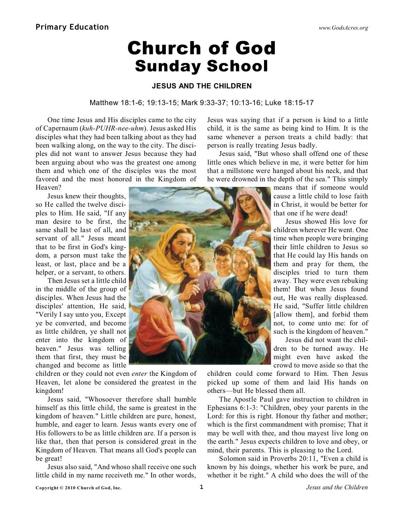# Church of God Sunday School

## **JESUS AND THE CHILDREN**

### Matthew 18:1-6; 19:13-15; Mark 9:33-37; 10:13-16; Luke 18:15-17

One time Jesus and His disciples came to the city of Capernaum (*kuh-PUHR-nee-uhm*). Jesus asked His disciples what they had been talking about as they had been walking along, on the way to the city. The disciples did not want to answer Jesus because they had been arguing about who was the greatest one among them and which one of the disciples was the most favored and the most honored in the Kingdom of Heaven?

Jesus knew their thoughts, so He called the twelve disciples to Him. He said, "If any man desire to be first, the same shall be last of all, and servant of all." Jesus meant that to be first in God's kingdom, a person must take the least, or last, place and be a helper, or a servant, to others.

Then Jesus set a little child in the middle of the group of disciples. When Jesus had the disciples' attention, He said, "Verily I say unto you, Except ye be converted, and become as little children, ye shall not enter into the kingdom of heaven." Jesus was telling them that first, they must be changed and become as little

children or they could not even *enter* the Kingdom of Heaven, let alone be considered the greatest in the kingdom!

Jesus said, "Whosoever therefore shall humble himself as this little child, the same is greatest in the kingdom of heaven." Little children are pure, honest, humble, and eager to learn. Jesus wants every one of His followers to be as little children are. If a person is like that, then that person is considered great in the Kingdom of Heaven. That means all God's people can be great!

Jesus also said, "And whoso shall receive one such little child in my name receiveth me." In other words,

Jesus was saying that if a person is kind to a little child, it is the same as being kind to Him. It is the same whenever a person treats a child badly: that person is really treating Jesus badly.

Jesus said, "But whoso shall offend one of these little ones which believe in me, it were better for him that a millstone were hanged about his neck, and that he were drowned in the depth of the sea." This simply

> means that if someone would cause a little child to lose faith in Christ, it would be better for that one if he were dead!

> Jesus showed His love for children wherever He went. One time when people were bringing their little children to Jesus so that He could lay His hands on them and pray for them, the disciples tried to turn them away. They were even rebuking them! But when Jesus found out, He was really displeased. He said, "Suffer little children [allow them], and forbid them not, to come unto me: for of such is the kingdom of heaven."

> Jesus did not want the children to be turned away. He might even have asked the crowd to move aside so that the

children could come forward to Him. Then Jesus picked up some of them and laid His hands on others—but He blessed them all.

The Apostle Paul gave instruction to children in Ephesians 6:1-3: "Children, obey your parents in the Lord: for this is right. Honour thy father and mother; which is the first commandment with promise; That it may be well with thee, and thou mayest live long on the earth." Jesus expects children to love and obey, or mind, their parents. This is pleasing to the Lord.

Solomon said in Proverbs 20:11, "Even a child is known by his doings, whether his work be pure, and whether it be right." A child who does the will of the